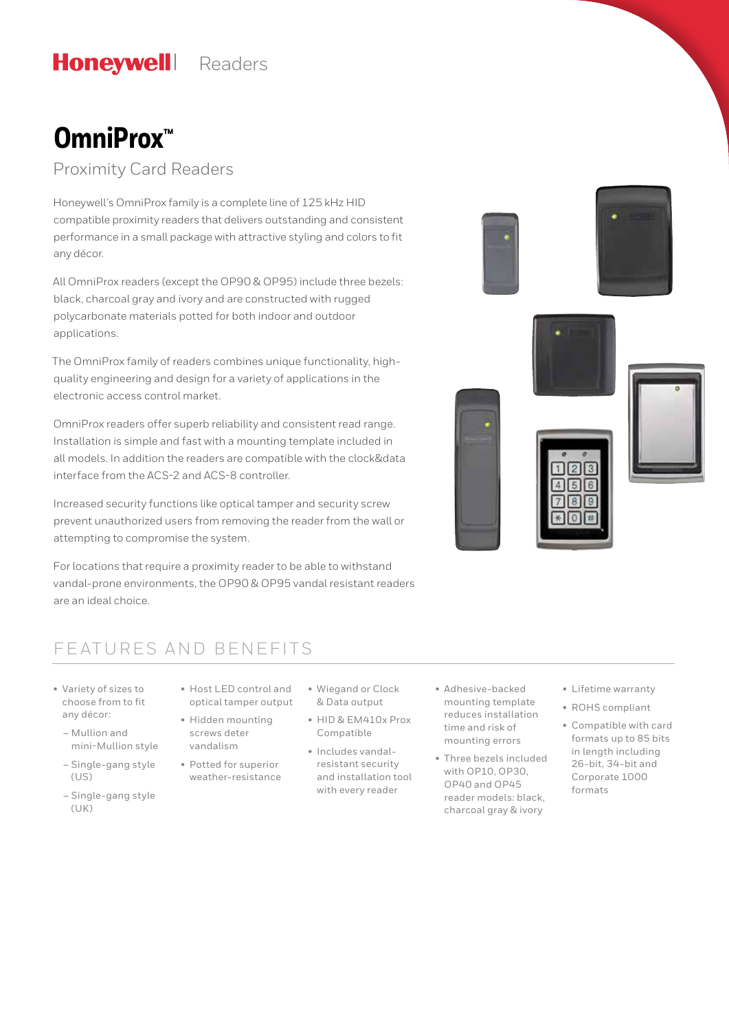#### **Honeywell** Readers

# **OmniProx™**

Proximity Card Readers

Honeywell's OmniProx family is a complete line of 125 kHz HID compatible proximity readers that delivers outstanding and consistent performance in a small package with attractive styling and colors to fit any décor.

All OmniProx readers (except the OP90 & OP95) include three bezels: black, charcoal gray and ivory and are constructed with rugged polycarbonate materials potted for both indoor and outdoor applications.

The OmniProx family of readers combines unique functionality, highquality engineering and design for a variety of applications in the electronic access control market.

OmniProx readers offer superb reliability and consistent read range. Installation is simple and fast with a mounting template included in all models. In addition the readers are compatible with the clock&data interface from the ACS-2 and ACS-8 controller.

Increased security functions like optical tamper and security screw prevent unauthorized users from removing the reader from the wall or attempting to compromise the system.

For locations that require a proximity reader to be able to withstand vandal-prone environments, the OP90 & OP95 vandal resistant readers are an ideal choice.

### FEATURES AND BENEFITS

- Variety of sizes to choose from to fit any décor:
	- Mullion and mini-Mullion style
	- Single-gang style (US)
	- Single-gang style (UK)
- Host LED control and optical tamper output
- Hidden mounting screws deter vandalism
- Potted for superior weather-resistance
- Wiegand or Clock & Data output
- HID & EM410x Prox Compatible
	- Includes vandalresistant security and installation tool with every reader
- Adhesive-backed mounting template reduces installation time and risk of mounting errors
- Three bezels included with OP10, OP30, OP40 and OP45 reader models: black, charcoal gray & ivory
- Lifetime warranty
- ROHS compliant
- Compatible with card formats up to 85 bits in length including 26-bit, 34-bit and Corporate 1000 formats